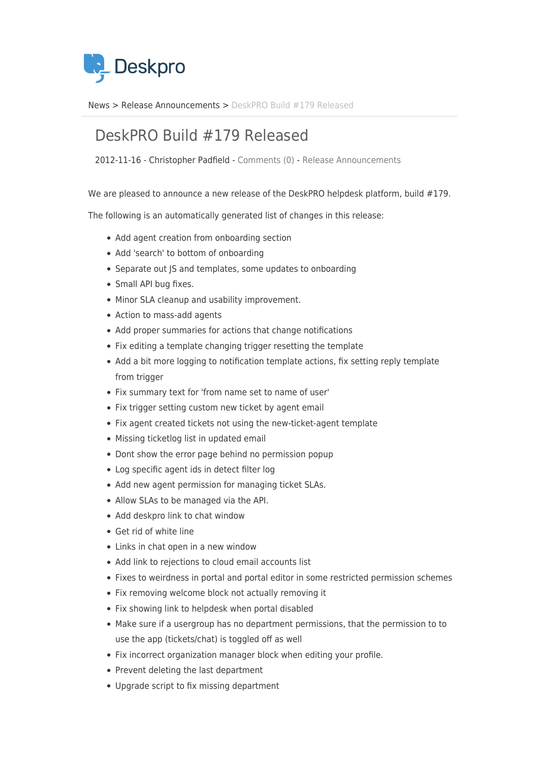

[News](https://support.deskpro.com/sv/news) > [Release Announcements](https://support.deskpro.com/sv/news/release-announcements) > [DeskPRO Build #179 Released](https://support.deskpro.com/sv/news/posts/deskpro-build-179-released)

## DeskPRO Build #179 Released

2012-11-16 - Christopher Padfield - [Comments \(0\)](#page--1-0) - [Release Announcements](https://support.deskpro.com/sv/news/release-announcements)

We are pleased to announce a new release of the DeskPRO helpdesk platform, build #179.

The following is an automatically generated list of changes in this release:

- Add agent creation from onboarding section
- Add 'search' to bottom of onboarding
- Separate out JS and templates, some updates to onboarding
- Small API bug fixes.
- Minor SLA cleanup and usability improvement.
- Action to mass-add agents
- Add proper summaries for actions that change notifications
- Fix editing a template changing trigger resetting the template
- Add a bit more logging to notification template actions, fix setting reply template from trigger
- Fix summary text for 'from name set to name of user'
- Fix trigger setting custom new ticket by agent email
- Fix agent created tickets not using the new-ticket-agent template
- Missing ticketlog list in updated email
- Dont show the error page behind no permission popup
- Log specific agent ids in detect filter log
- Add new agent permission for managing ticket SLAs.
- Allow SLAs to be managed via the API.
- Add deskpro link to chat window
- Get rid of white line
- Links in chat open in a new window
- Add link to rejections to cloud email accounts list
- Fixes to weirdness in portal and portal editor in some restricted permission schemes
- Fix removing welcome block not actually removing it
- Fix showing link to helpdesk when portal disabled
- Make sure if a usergroup has no department permissions, that the permission to to use the app (tickets/chat) is toggled off as well
- Fix incorrect organization manager block when editing your profile.
- Prevent deleting the last department
- Upgrade script to fix missing department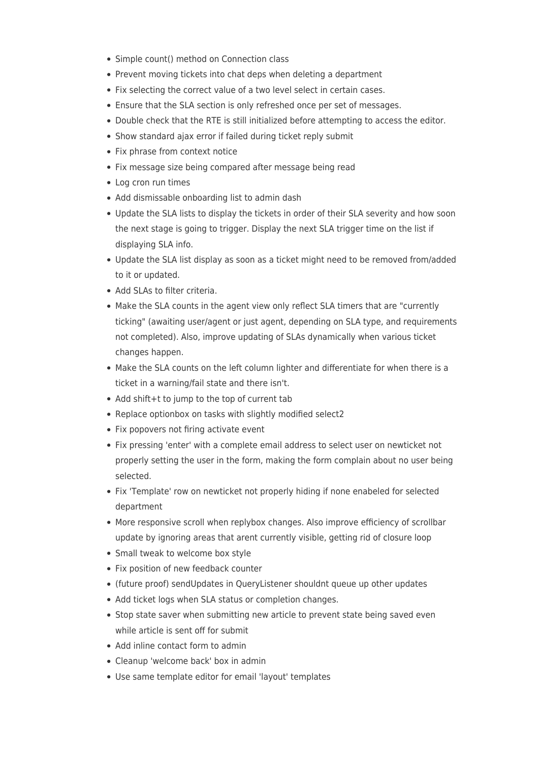- Simple count() method on Connection class
- Prevent moving tickets into chat deps when deleting a department
- Fix selecting the correct value of a two level select in certain cases.
- Ensure that the SLA section is only refreshed once per set of messages.
- Double check that the RTE is still initialized before attempting to access the editor.
- Show standard ajax error if failed during ticket reply submit
- Fix phrase from context notice
- Fix message size being compared after message being read
- Log cron run times
- Add dismissable onboarding list to admin dash
- Update the SLA lists to display the tickets in order of their SLA severity and how soon the next stage is going to trigger. Display the next SLA trigger time on the list if displaying SLA info.
- Update the SLA list display as soon as a ticket might need to be removed from/added to it or updated.
- Add SLAs to filter criteria.
- Make the SLA counts in the agent view only reflect SLA timers that are "currently ticking" (awaiting user/agent or just agent, depending on SLA type, and requirements not completed). Also, improve updating of SLAs dynamically when various ticket changes happen.
- Make the SLA counts on the left column lighter and differentiate for when there is a ticket in a warning/fail state and there isn't.
- Add shift+t to jump to the top of current tab
- Replace optionbox on tasks with slightly modified select2
- Fix popovers not firing activate event
- Fix pressing 'enter' with a complete email address to select user on newticket not properly setting the user in the form, making the form complain about no user being selected.
- Fix 'Template' row on newticket not properly hiding if none enabeled for selected department
- More responsive scroll when replybox changes. Also improve efficiency of scrollbar update by ignoring areas that arent currently visible, getting rid of closure loop
- Small tweak to welcome box style
- Fix position of new feedback counter
- (future proof) sendUpdates in QueryListener shouldnt queue up other updates
- Add ticket logs when SLA status or completion changes.
- Stop state saver when submitting new article to prevent state being saved even while article is sent off for submit
- Add inline contact form to admin
- Cleanup 'welcome back' box in admin
- Use same template editor for email 'layout' templates